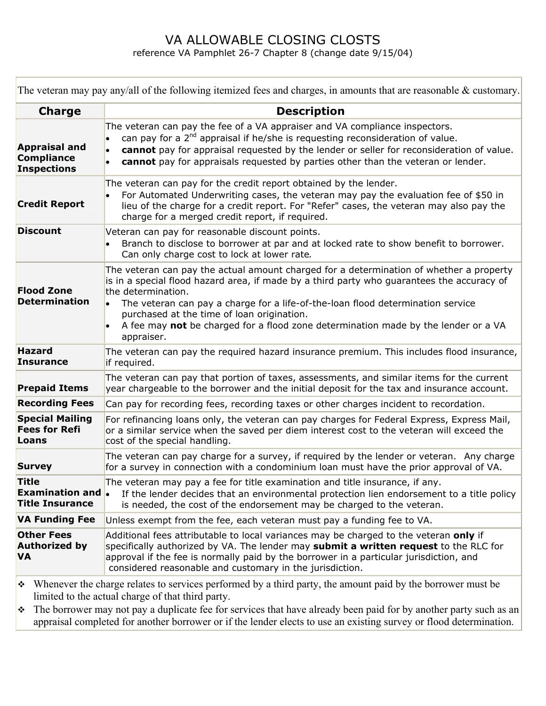## VA ALLOWABLE CLOSING CLOSTS reference VA Pamphlet 26-7 Chapter 8 (change date 9/15/04)

The veteran may pay any/all of the following itemized fees and charges, in amounts that are reasonable & customary.

| <b>Charge</b>                                                   | <b>Description</b>                                                                                                                                                                                                                                                                                                                                                                                                                               |
|-----------------------------------------------------------------|--------------------------------------------------------------------------------------------------------------------------------------------------------------------------------------------------------------------------------------------------------------------------------------------------------------------------------------------------------------------------------------------------------------------------------------------------|
| <b>Appraisal and</b><br><b>Compliance</b><br><b>Inspections</b> | The veteran can pay the fee of a VA appraiser and VA compliance inspectors.<br>can pay for a 2 <sup>nd</sup> appraisal if he/she is requesting reconsideration of value.<br>cannot pay for appraisal requested by the lender or seller for reconsideration of value.<br>$\bullet$<br>cannot pay for appraisals requested by parties other than the veteran or lender.<br>$\bullet$                                                               |
| <b>Credit Report</b>                                            | The veteran can pay for the credit report obtained by the lender.<br>For Automated Underwriting cases, the veteran may pay the evaluation fee of \$50 in<br>lieu of the charge for a credit report. For "Refer" cases, the veteran may also pay the<br>charge for a merged credit report, if required.                                                                                                                                           |
| <b>Discount</b>                                                 | Veteran can pay for reasonable discount points.<br>Branch to disclose to borrower at par and at locked rate to show benefit to borrower.<br>Can only charge cost to lock at lower rate.                                                                                                                                                                                                                                                          |
| <b>Flood Zone</b><br><b>Determination</b>                       | The veteran can pay the actual amount charged for a determination of whether a property<br>is in a special flood hazard area, if made by a third party who guarantees the accuracy of<br>the determination.<br>The veteran can pay a charge for a life-of-the-loan flood determination service<br>purchased at the time of loan origination.<br>A fee may not be charged for a flood zone determination made by the lender or a VA<br>appraiser. |
| <b>Hazard</b><br><b>Insurance</b>                               | The veteran can pay the required hazard insurance premium. This includes flood insurance,<br>if required.                                                                                                                                                                                                                                                                                                                                        |
| <b>Prepaid Items</b>                                            | The veteran can pay that portion of taxes, assessments, and similar items for the current<br>year chargeable to the borrower and the initial deposit for the tax and insurance account.                                                                                                                                                                                                                                                          |
| <b>Recording Fees</b>                                           | Can pay for recording fees, recording taxes or other charges incident to recordation.                                                                                                                                                                                                                                                                                                                                                            |
| <b>Special Mailing</b><br><b>Fees for Refi</b><br>Loans         | For refinancing loans only, the veteran can pay charges for Federal Express, Express Mail,<br>or a similar service when the saved per diem interest cost to the veteran will exceed the<br>cost of the special handling.                                                                                                                                                                                                                         |
| <b>Survey</b>                                                   | The veteran can pay charge for a survey, if required by the lender or veteran. Any charge<br>for a survey in connection with a condominium loan must have the prior approval of VA.                                                                                                                                                                                                                                                              |
| <b>Title</b><br><b>Examination and.</b><br>Title Insurance      | The veteran may pay a fee for title examination and title insurance, if any.<br>If the lender decides that an environmental protection lien endorsement to a title policy<br>is needed, the cost of the endorsement may be charged to the veteran.                                                                                                                                                                                               |
| <b>VA Funding Fee</b>                                           | Unless exempt from the fee, each veteran must pay a funding fee to VA.                                                                                                                                                                                                                                                                                                                                                                           |
| <b>Other Fees</b><br><b>Authorized by</b><br><b>VA</b>          | Additional fees attributable to local variances may be charged to the veteran only if<br>specifically authorized by VA. The lender may submit a written request to the RLC for<br>approval if the fee is normally paid by the borrower in a particular jurisdiction, and<br>considered reasonable and customary in the jurisdiction.                                                                                                             |
|                                                                 |                                                                                                                                                                                                                                                                                                                                                                                                                                                  |

 Whenever the charge relates to services performed by a third party, the amount paid by the borrower must be limited to the actual charge of that third party.

 $\cdot \cdot$  The borrower may not pay a duplicate fee for services that have already been paid for by another party such as an appraisal completed for another borrower or if the lender elects to use an existing survey or flood determination.